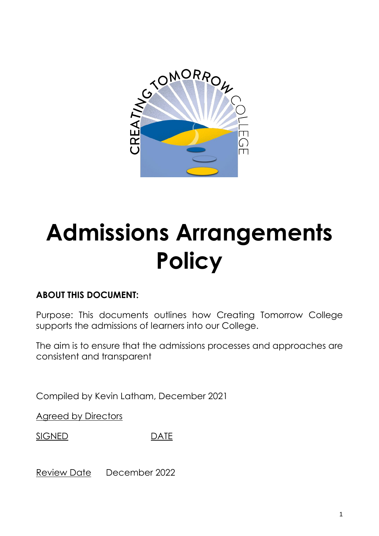

# **Admissions Arrangements Policy**

# **ABOUT THIS DOCUMENT:**

Purpose: This documents outlines how Creating Tomorrow College supports the admissions of learners into our College.

The aim is to ensure that the admissions processes and approaches are consistent and transparent

Compiled by Kevin Latham, December 2021

Agreed by Directors

SIGNED DATE

Review Date December 2022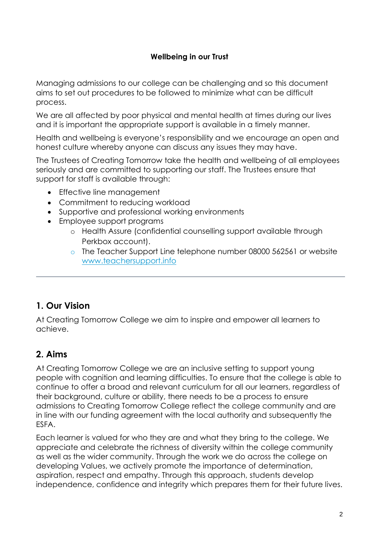# **Wellbeing in our Trust**

Managing admissions to our college can be challenging and so this document aims to set out procedures to be followed to minimize what can be difficult process.

We are all affected by poor physical and mental health at times during our lives and it is important the appropriate support is available in a timely manner.

Health and wellbeing is everyone's responsibility and we encourage an open and honest culture whereby anyone can discuss any issues they may have.

The Trustees of Creating Tomorrow take the health and wellbeing of all employees seriously and are committed to supporting our staff. The Trustees ensure that support for staff is available through:

- Effective line management
- Commitment to reducing workload
- Supportive and professional working environments
- Employee support programs
	- o Health Assure (confidential counselling support available through Perkbox account).
	- o The Teacher Support Line telephone number 08000 562561 or website [www.teachersupport.info](http://www.teachersupport.info/)

# **1. Our Vision**

At Creating Tomorrow College we aim to inspire and empower all learners to achieve.

# **2. Aims**

At Creating Tomorrow College we are an inclusive setting to support young people with cognition and learning difficulties. To ensure that the college is able to continue to offer a broad and relevant curriculum for all our learners, regardless of their background, culture or ability, there needs to be a process to ensure admissions to Creating Tomorrow College reflect the college community and are in line with our funding agreement with the local authority and subsequently the ESFA.

Each learner is valued for who they are and what they bring to the college. We appreciate and celebrate the richness of diversity within the college community as well as the wider community. Through the work we do across the college on developing Values, we actively promote the importance of determination, aspiration, respect and empathy. Through this approach, students develop independence, confidence and integrity which prepares them for their future lives.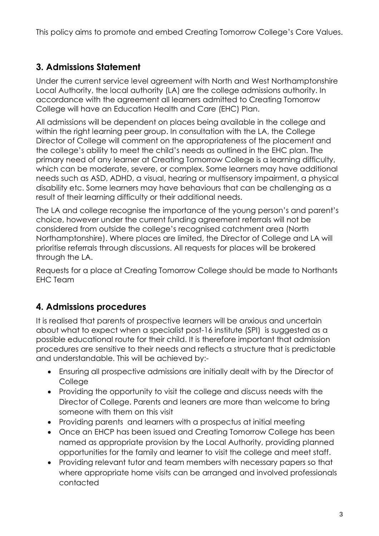This policy aims to promote and embed Creating Tomorrow College's Core Values.

# **3. Admissions Statement**

Under the current service level agreement with North and West Northamptonshire Local Authority, the local authority (LA) are the college admissions authority. In accordance with the agreement all learners admitted to Creating Tomorrow College will have an Education Health and Care (EHC) Plan.

All admissions will be dependent on places being available in the college and within the right learning peer group. In consultation with the LA, the College Director of College will comment on the appropriateness of the placement and the college's ability to meet the child's needs as outlined in the EHC plan. The primary need of any learner at Creating Tomorrow College is a learning difficulty, which can be moderate, severe, or complex. Some learners may have additional needs such as ASD, ADHD, a visual, hearing or multisensory impairment, a physical disability etc. Some learners may have behaviours that can be challenging as a result of their learning difficulty or their additional needs.

The LA and college recognise the importance of the young person's and parent's choice, however under the current funding agreement referrals will not be considered from outside the college's recognised catchment area (North Northamptonshire). Where places are limited, the Director of College and LA will prioritise referrals through discussions. All requests for places will be brokered through the LA.

Requests for a place at Creating Tomorrow College should be made to Northants EHC Team

# **4. Admissions procedures**

It is realised that parents of prospective learners will be anxious and uncertain about what to expect when a specialist post-16 institute (SPI) is suggested as a possible educational route for their child. It is therefore important that admission procedures are sensitive to their needs and reflects a structure that is predictable and understandable. This will be achieved by:-

- Ensuring all prospective admissions are initially dealt with by the Director of **College**
- Providing the opportunity to visit the college and discuss needs with the Director of College. Parents and leaners are more than welcome to bring someone with them on this visit
- Providing parents and learners with a prospectus at initial meeting
- Once an EHCP has been issued and Creating Tomorrow College has been named as appropriate provision by the Local Authority, providing planned opportunities for the family and learner to visit the college and meet staff.
- Providing relevant tutor and team members with necessary papers so that where appropriate home visits can be arranged and involved professionals contacted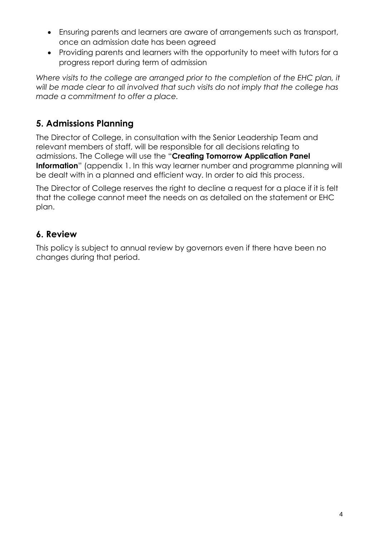- Ensuring parents and learners are aware of arrangements such as transport, once an admission date has been agreed
- Providing parents and learners with the opportunity to meet with tutors for a progress report during term of admission

*Where visits to the college are arranged prior to the completion of the EHC plan, it will be made clear to all involved that such visits do not imply that the college has made a commitment to offer a place.*

# **5. Admissions Planning**

The Director of College, in consultation with the Senior Leadership Team and relevant members of staff, will be responsible for all decisions relating to admissions. The College will use the "**Creating Tomorrow Application Panel Information**" (appendix 1. In this way learner number and programme planning will be dealt with in a planned and efficient way. In order to aid this process.

The Director of College reserves the right to decline a request for a place if it is felt that the college cannot meet the needs on as detailed on the statement or EHC plan.

# **6. Review**

This policy is subject to annual review by governors even if there have been no changes during that period.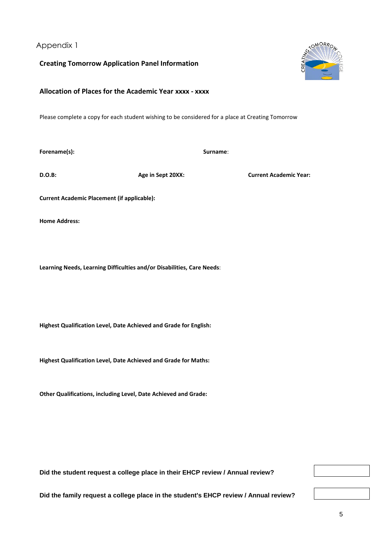Appendix 1

**Creating Tomorrow Application Panel Information**

# **Allocation of Places for the Academic Year xxxx - xxxx**

Please complete a copy for each student wishing to be considered for a place at Creating Tomorrow

**Forename(s): Surname**:

**D.O.B: Age in Sept 20XX: Current Academic Year:**

**Current Academic Placement (if applicable):**

**Home Address:**

**Learning Needs, Learning Difficulties and/or Disabilities, Care Needs**:

**Highest Qualification Level, Date Achieved and Grade for English:**

**Highest Qualification Level, Date Achieved and Grade for Maths:**

**Other Qualifications, including Level, Date Achieved and Grade:**

**Did the student request a college place in their EHCP review / Annual review?**

**Did the family request a college place in the student's EHCP review / Annual review?**



5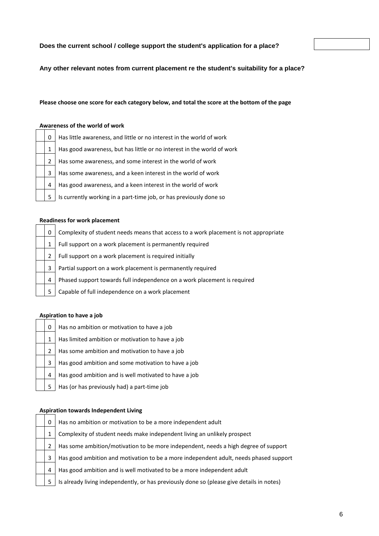# **Does the current school / college support the student's application for a place?**

**Any other relevant notes from current placement re the student's suitability for a place?**

# **Please choose one score for each category below, and total the score at the bottom of the page**

# **Awareness of the world of work**

| 0 | Has little awareness, and little or no interest in the world of work   |
|---|------------------------------------------------------------------------|
| 1 | Has good awareness, but has little or no interest in the world of work |
| 2 | Has some awareness, and some interest in the world of work             |
| 3 | Has some awareness, and a keen interest in the world of work           |
| 4 | Has good awareness, and a keen interest in the world of work           |
| 5 | Is currently working in a part-time job, or has previously done so     |

# **Readiness for work placement**

| 0 | Complexity of student needs means that access to a work placement is not appropriate |
|---|--------------------------------------------------------------------------------------|
|   | Full support on a work placement is permanently required                             |
| 2 | Full support on a work placement is required initially                               |
| 3 | Partial support on a work placement is permanently required                          |
| 4 | Phased support towards full independence on a work placement is required             |
| 5 | Capable of full independence on a work placement                                     |

## **Aspiration to have a job**

| 0 | Has no ambition or motivation to have a job           |
|---|-------------------------------------------------------|
| 1 | Has limited ambition or motivation to have a job      |
| 2 | Has some ambition and motivation to have a job        |
| 3 | Has good ambition and some motivation to have a job   |
| 4 | Has good ambition and is well motivated to have a job |
| 5 | Has (or has previously had) a part-time job           |

# **Aspiration towards Independent Living**

| 0  | Has no ambition or motivation to be a more independent adult                              |
|----|-------------------------------------------------------------------------------------------|
|    | Complexity of student needs make independent living an unlikely prospect                  |
|    | Has some ambition/motivation to be more independent, needs a high degree of support       |
| 3  | Has good ambition and motivation to be a more independent adult, needs phased support     |
| -4 | Has good ambition and is well motivated to be a more independent adult                    |
|    | Is already living independently, or has previously done so (please give details in notes) |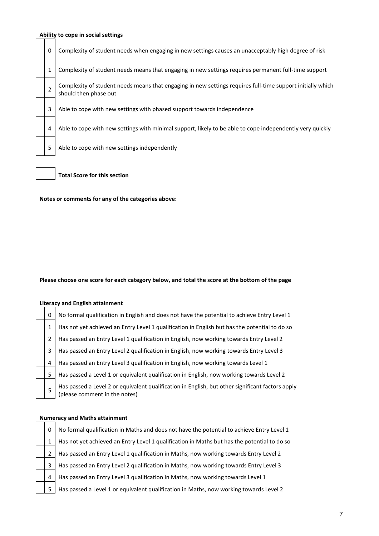## **Ability to cope in social settings**

0 Complexity of student needs when engaging in new settings causes an unacceptably high degree of risk 1 Complexity of student needs means that engaging in new settings requires permanent full-time support 2 Complexity of student needs means that engaging in new settings requires full-time support initially which should then phase out

3 Able to cope with new settings with phased support towards independence

4 Able to cope with new settings with minimal support, likely to be able to cope independently very quickly

5 Able to cope with new settings independently

**Total Score for this section**

**Notes or comments for any of the categories above:**

#### **Please choose one score for each category below, and total the score at the bottom of the page**

# **Literacy and English attainment**

| 0 | No formal qualification in English and does not have the potential to achieve Entry Level 1                                       |
|---|-----------------------------------------------------------------------------------------------------------------------------------|
| 1 | Has not yet achieved an Entry Level 1 qualification in English but has the potential to do so                                     |
| 2 | Has passed an Entry Level 1 qualification in English, now working towards Entry Level 2                                           |
| 3 | Has passed an Entry Level 2 qualification in English, now working towards Entry Level 3                                           |
| 4 | Has passed an Entry Level 3 qualification in English, now working towards Level 1                                                 |
| 5 | Has passed a Level 1 or equivalent qualification in English, now working towards Level 2                                          |
| 5 | Has passed a Level 2 or equivalent qualification in English, but other significant factors apply<br>(please comment in the notes) |

#### **Numeracy and Maths attainment**

5

| 0            | No formal qualification in Maths and does not have the potential to achieve Entry Level 1   |
|--------------|---------------------------------------------------------------------------------------------|
| 1            | Has not yet achieved an Entry Level 1 qualification in Maths but has the potential to do so |
| $\mathbf{2}$ | Has passed an Entry Level 1 qualification in Maths, now working towards Entry Level 2       |
| 3.           | Has passed an Entry Level 2 qualification in Maths, now working towards Entry Level 3       |
| 4            | Has passed an Entry Level 3 qualification in Maths, now working towards Level 1             |
| 5            | Has passed a Level 1 or equivalent qualification in Maths, now working towards Level 2      |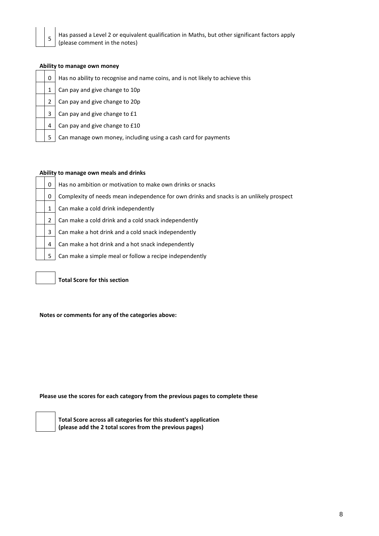

Has passed a Level 2 or equivalent qualification in Maths, but other significant factors apply (please comment in the notes)

| 0 |
|---|
| 1 |
| 2 |
| 3 |
| 4 |
| 5 |

# **Ability to manage own money**

Has no ability to recognise and name coins, and is not likely to achieve this

Can pay and give change to 10p

Can pay and give change to 20p

Can pay and give change to £1

Can pay and give change to £10

Can manage own money, including using a cash card for payments

# **Ability to manage own meals and drinks**

| 0 | Has no ambition or motivation to make own drinks or snacks                              |
|---|-----------------------------------------------------------------------------------------|
| 0 | Complexity of needs mean independence for own drinks and snacks is an unlikely prospect |
|   | Can make a cold drink independently                                                     |
| 2 | Can make a cold drink and a cold snack independently                                    |
| 3 | Can make a hot drink and a cold snack independently                                     |
| 4 | Can make a hot drink and a hot snack independently                                      |
| 5 | Can make a simple meal or follow a recipe independently                                 |

**Total Score for this section**

**Notes or comments for any of the categories above:**

**Please use the scores for each category from the previous pages to complete these**



**Total Score across all categories for this student's application (please add the 2 total scores from the previous pages)**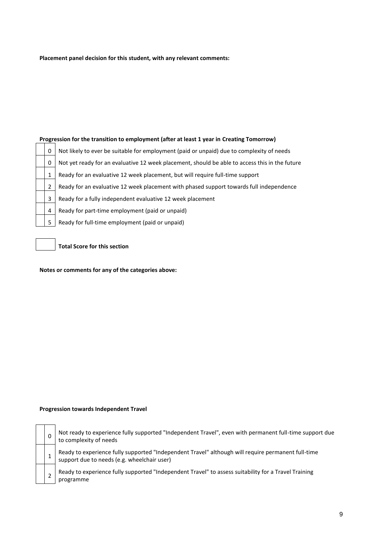## **Placement panel decision for this student, with any relevant comments:**

## **Progression for the transition to employment (after at least 1 year in Creating Tomorrow)**

| 0 | Not likely to ever be suitable for employment (paid or unpaid) due to complexity of needs      |  |  |  |  |  |
|---|------------------------------------------------------------------------------------------------|--|--|--|--|--|
| 0 | Not yet ready for an evaluative 12 week placement, should be able to access this in the future |  |  |  |  |  |
|   | Ready for an evaluative 12 week placement, but will require full-time support                  |  |  |  |  |  |
|   | Ready for an evaluative 12 week placement with phased support towards full independence        |  |  |  |  |  |
| 3 | Ready for a fully independent evaluative 12 week placement                                     |  |  |  |  |  |
| 4 | Ready for part-time employment (paid or unpaid)                                                |  |  |  |  |  |
| 5 | Ready for full-time employment (paid or unpaid)                                                |  |  |  |  |  |

**Total Score for this section**

**Notes or comments for any of the categories above:**

## **Progression towards Independent Travel**

| 0 |
|---|
| 1 |
| 2 |

Not ready to experience fully supported "Independent Travel", even with permanent full-time support due to complexity of needs

Ready to experience fully supported "Independent Travel" although will require permanent full-time support due to needs (e.g. wheelchair user)

Ready to experience fully supported "Independent Travel" to assess suitability for a Travel Training programme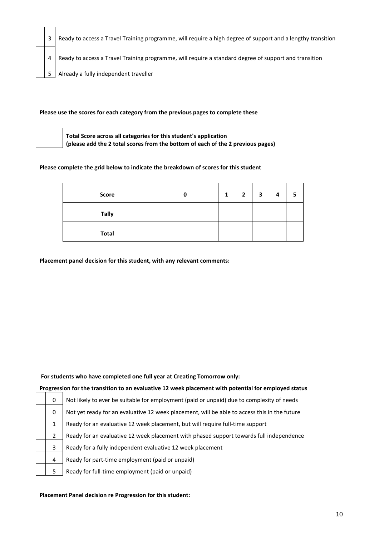| 3 | Ready to access a Travel Training programme, will require a high degree of support and a lengthy transition |
|---|-------------------------------------------------------------------------------------------------------------|
| 4 | Ready to access a Travel Training programme, will require a standard degree of support and transition       |
| 5 | Already a fully independent traveller                                                                       |

## **Please use the scores for each category from the previous pages to complete these**



**Total Score across all categories for this student's application (please add the 2 total scores from the bottom of each of the 2 previous pages)**

## **Please complete the grid below to indicate the breakdown of scores for this student**

| Score        | 0 | $\mathbf{1}$ | $\overline{2}$ | 3 | 4 |  |
|--------------|---|--------------|----------------|---|---|--|
| <b>Tally</b> |   |              |                |   |   |  |
| <b>Total</b> |   |              |                |   |   |  |

**Placement panel decision for this student, with any relevant comments:**

# **For students who have completed one full year at Creating Tomorrow only:**

# **Progression for the transition to an evaluative 12 week placement with potential for employed status**

| 0 | Not likely to ever be suitable for employment (paid or unpaid) due to complexity of needs    |
|---|----------------------------------------------------------------------------------------------|
| 0 | Not yet ready for an evaluative 12 week placement, will be able to access this in the future |
| 1 | Ready for an evaluative 12 week placement, but will require full-time support                |
| 2 | Ready for an evaluative 12 week placement with phased support towards full independence      |
| 3 | Ready for a fully independent evaluative 12 week placement                                   |
| 4 | Ready for part-time employment (paid or unpaid)                                              |
| 5 | Ready for full-time employment (paid or unpaid)                                              |

### **Placement Panel decision re Progression for this student:**